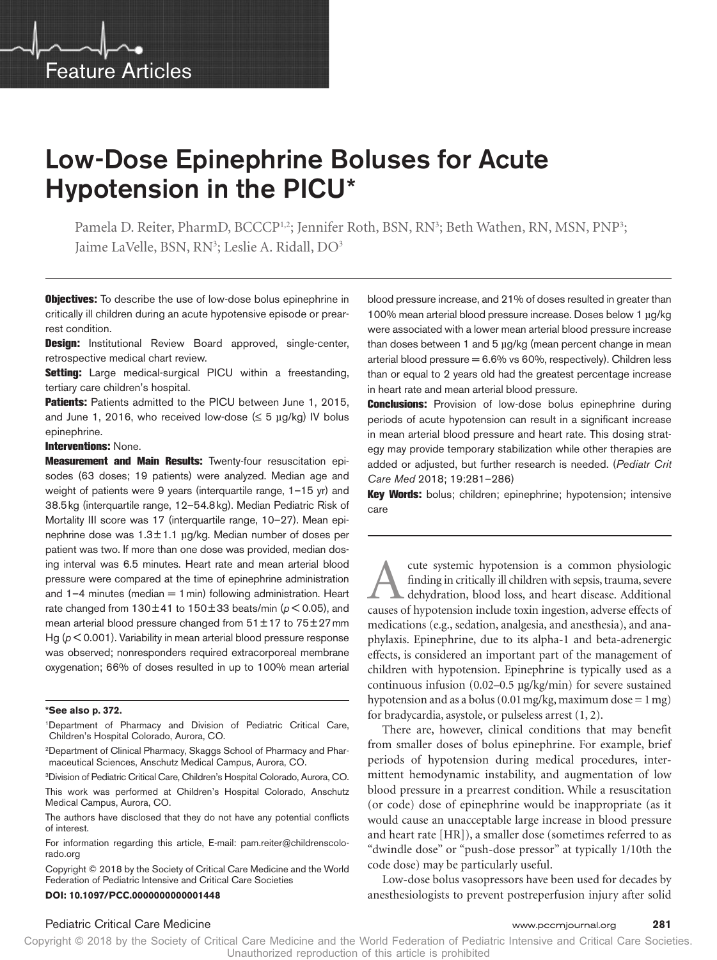# Low-Dose Epinephrine Boluses for Acute Hypotension in the PICU\*

Pamela D. Reiter, PharmD, BCCCP<sup>1,2</sup>; Jennifer Roth, BSN, RN<sup>3</sup>; Beth Wathen, RN, MSN, PNP<sup>3</sup>; Jaime LaVelle, BSN, RN<sup>3</sup>; Leslie A. Ridall, DO<sup>3</sup>

**Objectives:** To describe the use of low-dose bolus epinephrine in critically ill children during an acute hypotensive episode or prearrest condition.

Design: Institutional Review Board approved, single-center, retrospective medical chart review.

**Setting:** Large medical-surgical PICU within a freestanding, tertiary care children's hospital.

**Patients:** Patients admitted to the PICU between June 1, 2015, and June 1, 2016, who received low-dose ( $\leq$  5 µg/kg) IV bolus epinephrine.

## Interventions: None.

Measurement and Main Results: Twenty-four resuscitation episodes (63 doses; 19 patients) were analyzed. Median age and weight of patients were 9 years (interquartile range, 1–15 yr) and 38.5kg (interquartile range, 12–54.8kg). Median Pediatric Risk of Mortality III score was 17 (interquartile range, 10–27). Mean epinephrine dose was 1.3±1.1 µg/kg. Median number of doses per patient was two. If more than one dose was provided, median dosing interval was 6.5 minutes. Heart rate and mean arterial blood pressure were compared at the time of epinephrine administration and  $1-4$  minutes (median  $= 1$  min) following administration. Heart rate changed from  $130 \pm 41$  to  $150 \pm 33$  beats/min ( $p < 0.05$ ), and mean arterial blood pressure changed from  $51 \pm 17$  to  $75 \pm 27$  mm Hg (*p* < 0.001). Variability in mean arterial blood pressure response was observed; nonresponders required extracorporeal membrane oxygenation; 66% of doses resulted in up to 100% mean arterial

### **\*See also p. 372.**

For information regarding this article, E-mail: [pam.reiter@childrenscolo](mailto:pam.reiter@childrenscolorado.org)[rado.org](mailto:pam.reiter@childrenscolorado.org)

Copyright © 2018 by the Society of Critical Care Medicine and the World Federation of Pediatric Intensive and Critical Care Societies

## **DOI: 10.1097/PCC.0000000000001448**

blood pressure increase, and 21% of doses resulted in greater than 100% mean arterial blood pressure increase. Doses below 1 µg/kg were associated with a lower mean arterial blood pressure increase than doses between 1 and 5 µg/kg (mean percent change in mean arterial blood pressure = 6.6% vs 60%, respectively). Children less than or equal to 2 years old had the greatest percentage increase in heart rate and mean arterial blood pressure.

**Conclusions:** Provision of low-dose bolus epinephrine during periods of acute hypotension can result in a significant increase in mean arterial blood pressure and heart rate. This dosing strategy may provide temporary stabilization while other therapies are added or adjusted, but further research is needed. (*Pediatr Crit Care Med* 2018; 19:281–286)

Key Words: bolus; children; epinephrine; hypotension; intensive care

cute systemic hypotension is a common physiologic<br>finding in critically ill children with sepsis, trauma, severe<br>dehydration, blood loss, and heart disease. Additional<br>causes of hypotension include toxin ingestion, adverse finding in critically ill children with sepsis, trauma, severe dehydration, blood loss, and heart disease. Additional causes of hypotension include toxin ingestion, adverse effects of medications (e.g., sedation, analgesia, and anesthesia), and anaphylaxis. Epinephrine, due to its alpha-1 and beta-adrenergic effects, is considered an important part of the management of children with hypotension. Epinephrine is typically used as a continuous infusion (0.02–0.5 µg/kg/min) for severe sustained hypotension and as a bolus  $(0.01 \,\text{mg/kg}, \text{maximum dose} = 1 \,\text{mg})$ for bradycardia, asystole, or pulseless arrest (1, 2).

There are, however, clinical conditions that may benefit from smaller doses of bolus epinephrine. For example, brief periods of hypotension during medical procedures, intermittent hemodynamic instability, and augmentation of low blood pressure in a prearrest condition. While a resuscitation (or code) dose of epinephrine would be inappropriate (as it would cause an unacceptable large increase in blood pressure and heart rate [HR]), a smaller dose (sometimes referred to as "dwindle dose" or "push-dose pressor" at typically 1/10th the code dose) may be particularly useful.

Low-dose bolus vasopressors have been used for decades by anesthesiologists to prevent postreperfusion injury after solid

## Pediatric Critical Care Medicine www.pccmjournal.org **281**

<sup>1</sup>Department of Pharmacy and Division of Pediatric Critical Care, Children's Hospital Colorado, Aurora, CO.

<sup>2</sup>Department of Clinical Pharmacy, Skaggs School of Pharmacy and Pharmaceutical Sciences, Anschutz Medical Campus, Aurora, CO.

<sup>3</sup> Division of Pediatric Critical Care, Children's Hospital Colorado, Aurora, CO. This work was performed at Children's Hospital Colorado, Anschutz Medical Campus, Aurora, CO.

The authors have disclosed that they do not have any potential conflicts of interest.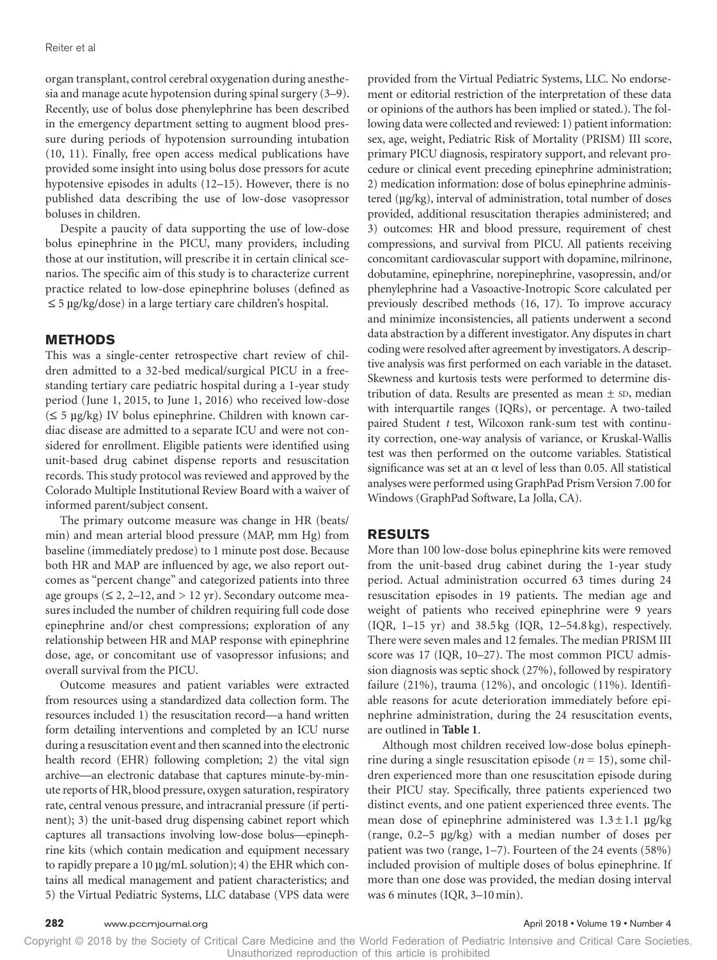organ transplant, control cerebral oxygenation during anesthesia and manage acute hypotension during spinal surgery (3–9). Recently, use of bolus dose phenylephrine has been described in the emergency department setting to augment blood pressure during periods of hypotension surrounding intubation (10, 11). Finally, free open access medical publications have provided some insight into using bolus dose pressors for acute hypotensive episodes in adults (12–15). However, there is no published data describing the use of low-dose vasopressor boluses in children.

Despite a paucity of data supporting the use of low-dose bolus epinephrine in the PICU, many providers, including those at our institution, will prescribe it in certain clinical scenarios. The specific aim of this study is to characterize current practice related to low-dose epinephrine boluses (defined as  $\leq$  5 µg/kg/dose) in a large tertiary care children's hospital.

## **METHODS**

This was a single-center retrospective chart review of children admitted to a 32-bed medical/surgical PICU in a freestanding tertiary care pediatric hospital during a 1-year study period (June 1, 2015, to June 1, 2016) who received low-dose  $(\leq 5 \text{ µg/kg})$  IV bolus epinephrine. Children with known cardiac disease are admitted to a separate ICU and were not considered for enrollment. Eligible patients were identified using unit-based drug cabinet dispense reports and resuscitation records. This study protocol was reviewed and approved by the Colorado Multiple Institutional Review Board with a waiver of informed parent/subject consent.

The primary outcome measure was change in HR (beats/ min) and mean arterial blood pressure (MAP, mm Hg) from baseline (immediately predose) to 1 minute post dose. Because both HR and MAP are influenced by age, we also report outcomes as "percent change" and categorized patients into three age groups ( $\leq 2$ , 2–12, and  $> 12$  yr). Secondary outcome measures included the number of children requiring full code dose epinephrine and/or chest compressions; exploration of any relationship between HR and MAP response with epinephrine dose, age, or concomitant use of vasopressor infusions; and overall survival from the PICU.

Outcome measures and patient variables were extracted from resources using a standardized data collection form. The resources included 1) the resuscitation record—a hand written form detailing interventions and completed by an ICU nurse during a resuscitation event and then scanned into the electronic health record (EHR) following completion; 2) the vital sign archive—an electronic database that captures minute-by-minute reports of HR, blood pressure, oxygen saturation, respiratory rate, central venous pressure, and intracranial pressure (if pertinent); 3) the unit-based drug dispensing cabinet report which captures all transactions involving low-dose bolus—epinephrine kits (which contain medication and equipment necessary to rapidly prepare a 10 µg/mL solution); 4) the EHR which contains all medical management and patient characteristics; and 5) the Virtual Pediatric Systems, LLC database (VPS data were

provided from the Virtual Pediatric Systems, LLC. No endorsement or editorial restriction of the interpretation of these data or opinions of the authors has been implied or stated.). The following data were collected and reviewed: 1) patient information: sex, age, weight, Pediatric Risk of Mortality (PRISM) III score, primary PICU diagnosis, respiratory support, and relevant procedure or clinical event preceding epinephrine administration; 2) medication information: dose of bolus epinephrine administered (µg/kg), interval of administration, total number of doses provided, additional resuscitation therapies administered; and 3) outcomes: HR and blood pressure, requirement of chest compressions, and survival from PICU. All patients receiving concomitant cardiovascular support with dopamine, milrinone, dobutamine, epinephrine, norepinephrine, vasopressin, and/or phenylephrine had a Vasoactive-Inotropic Score calculated per previously described methods (16, 17). To improve accuracy and minimize inconsistencies, all patients underwent a second data abstraction by a different investigator. Any disputes in chart coding were resolved after agreement by investigators. A descriptive analysis was first performed on each variable in the dataset. Skewness and kurtosis tests were performed to determine distribution of data. Results are presented as mean  $\pm$  sp, median with interquartile ranges (IQRs), or percentage. A two-tailed paired Student *t* test, Wilcoxon rank-sum test with continuity correction, one-way analysis of variance, or Kruskal-Wallis test was then performed on the outcome variables. Statistical significance was set at an  $\alpha$  level of less than 0.05. All statistical analyses were performed using GraphPad Prism Version 7.00 for Windows (GraphPad Software, La Jolla, CA).

## **RESULTS**

More than 100 low-dose bolus epinephrine kits were removed from the unit-based drug cabinet during the 1-year study period. Actual administration occurred 63 times during 24 resuscitation episodes in 19 patients. The median age and weight of patients who received epinephrine were 9 years (IQR, 1–15 yr) and 38.5 kg (IQR, 12–54.8 kg), respectively. There were seven males and 12 females. The median PRISM III score was 17 (IQR, 10–27). The most common PICU admission diagnosis was septic shock (27%), followed by respiratory failure (21%), trauma (12%), and oncologic (11%). Identifiable reasons for acute deterioration immediately before epinephrine administration, during the 24 resuscitation events, are outlined in **Table 1**.

Although most children received low-dose bolus epinephrine during a single resuscitation episode (*n* = 15), some children experienced more than one resuscitation episode during their PICU stay. Specifically, three patients experienced two distinct events, and one patient experienced three events. The mean dose of epinephrine administered was  $1.3 \pm 1.1$  µg/kg (range, 0.2–5 µg/kg) with a median number of doses per patient was two (range, 1–7). Fourteen of the 24 events (58%) included provision of multiple doses of bolus epinephrine. If more than one dose was provided, the median dosing interval was 6 minutes (IQR, 3–10min).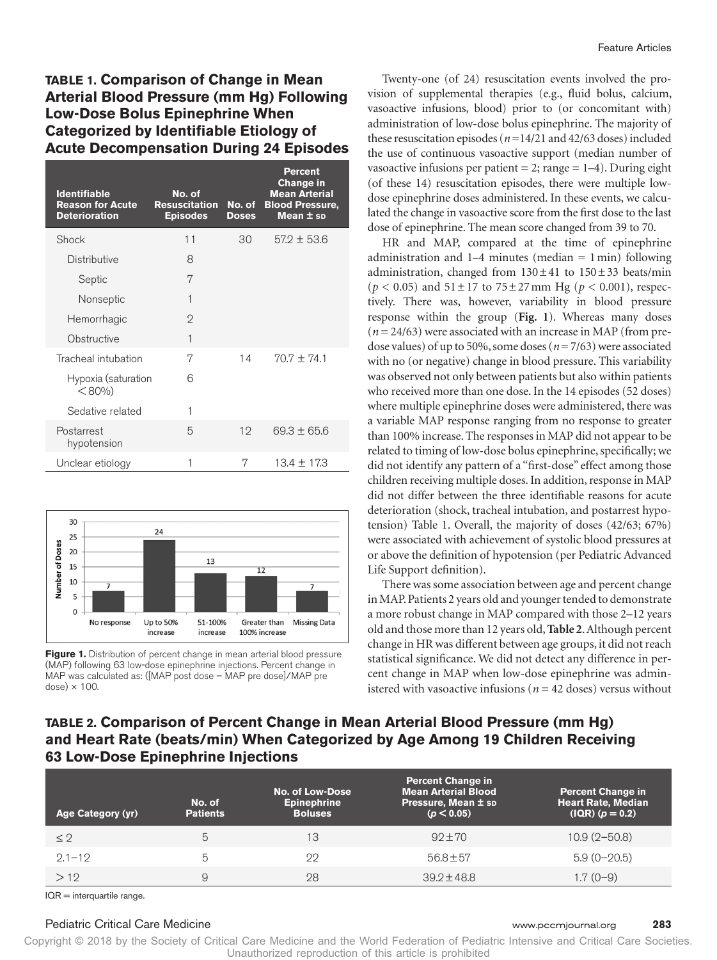**TABLE 1. Comparison of Change in Mean Arterial Blood Pressure (mm Hg) Following Low-Dose Bolus Epinephrine When Categorized by Identifiable Etiology of Acute Decompensation During 24 Episodes**

| <b>Identifiable</b><br><b>Reason for Acute</b><br><b>Deterioration</b> | No. of<br><b>Resuscitation</b><br><b>Episodes</b> | No. of<br><b>Doses</b> | <b>Percent</b><br>Change in<br><b>Mean Arterial</b><br><b>Blood Pressure,</b><br>Mean ± sp |
|------------------------------------------------------------------------|---------------------------------------------------|------------------------|--------------------------------------------------------------------------------------------|
| Shock                                                                  | 11                                                | 30                     | $57.2 \pm 53.6$                                                                            |
| <b>Distributive</b>                                                    | 8                                                 |                        |                                                                                            |
| Septic                                                                 | 7                                                 |                        |                                                                                            |
| Nonseptic                                                              | 1                                                 |                        |                                                                                            |
| Hemorrhagic                                                            | 2                                                 |                        |                                                                                            |
| Obstructive                                                            | 1                                                 |                        |                                                                                            |
| Tracheal intubation                                                    | 7                                                 | 14                     | $70.7 \pm 74.1$                                                                            |
| Hypoxia (saturation<br>$< 80\%$                                        | 6                                                 |                        |                                                                                            |
| Sedative related                                                       | 1                                                 |                        |                                                                                            |
| Postarrest<br>hypotension                                              | 5                                                 | 19                     | $69.3 \pm 65.6$                                                                            |
| Unclear etiology                                                       | 1                                                 | 7                      | $13.4 \pm 17.3$                                                                            |



Figure 1. Distribution of percent change in mean arterial blood pressure (MAP) following 63 low-dose epinephrine injections. Percent change in MAP was calculated as: ([MAP post dose - MAP pre dose]/MAP pre  $dose) \times 100$ .

Twenty-one (of 24) resuscitation events involved the provision of supplemental therapies (e.g., fluid bolus, calcium, vasoactive infusions, blood) prior to (or concomitant with) administration of low-dose bolus epinephrine. The majority of these resuscitation episodes (*n* =14/21 and 42/63 doses) included the use of continuous vasoactive support (median number of vasoactive infusions per patient = 2; range =  $1-4$ ). During eight (of these 14) resuscitation episodes, there were multiple lowdose epinephrine doses administered. In these events, we calculated the change in vasoactive score from the first dose to the last dose of epinephrine. The mean score changed from 39 to 70.

HR and MAP, compared at the time of epinephrine administration and  $1-4$  minutes (median =  $1 \text{ min}$ ) following administration, changed from  $130 \pm 41$  to  $150 \pm 33$  beats/min ( $p$  < 0.05) and 51 ± 17 to 75 ± 27 mm Hg ( $p$  < 0.001), respectively. There was, however, variability in blood pressure response within the group (**Fig. 1**). Whereas many doses (*n* = 24/63) were associated with an increase in MAP (from predose values) of up to 50%, some doses (*n* = 7/63) were associated with no (or negative) change in blood pressure. This variability was observed not only between patients but also within patients who received more than one dose. In the 14 episodes (52 doses) where multiple epinephrine doses were administered, there was a variable MAP response ranging from no response to greater than 100% increase. The responses in MAP did not appear to be related to timing of low-dose bolus epinephrine, specifically; we did not identify any pattern of a "first-dose" effect among those children receiving multiple doses. In addition, response in MAP did not differ between the three identifiable reasons for acute deterioration (shock, tracheal intubation, and postarrest hypotension) Table 1. Overall, the majority of doses (42/63; 67%) were associated with achievement of systolic blood pressures at or above the definition of hypotension (per Pediatric Advanced Life Support definition).

There was some association between age and percent change in MAP. Patients 2 years old and younger tended to demonstrate a more robust change in MAP compared with those 2–12 years old and those more than 12 years old, **Table 2**. Although percent change in HR was different between age groups, it did not reach statistical significance. We did not detect any difference in percent change in MAP when low-dose epinephrine was administered with vasoactive infusions ( $n = 42$  doses) versus without

## **TABLE 2. Comparison of Percent Change in Mean Arterial Blood Pressure (mm Hg) and Heart Rate (beats/min) When Categorized by Age Among 19 Children Receiving 63 Low-Dose Epinephrine Injections**

| Age Category (yr) | No. of<br><b>Patients</b> | <b>No. of Low-Dose</b><br><b>Epinephrine</b><br><b>Boluses</b> | <b>Percent Change in</b><br><b>Mean Arterial Blood</b><br><b>Pressure, Mean ± sp</b><br>(p < 0.05) | <b>Percent Change in</b><br><b>Heart Rate, Median</b><br>$(1QR) (p = 0.2)$ |
|-------------------|---------------------------|----------------------------------------------------------------|----------------------------------------------------------------------------------------------------|----------------------------------------------------------------------------|
| $\leq$ 2          | 5                         | 13                                                             | $92 + 70$                                                                                          | $10.9(2 - 50.8)$                                                           |
| $9.1 - 19$        | 5                         | 22                                                             | $56.8 \pm 57$                                                                                      | $5.9(0-20.5)$                                                              |
| >12               | 9                         | 28                                                             | $39.2 \pm 48.8$                                                                                    | 1.7 (0–9)                                                                  |

IQR = interquartile range.

## Pediatric Critical Care Medicine www.pccmjournal.org **283**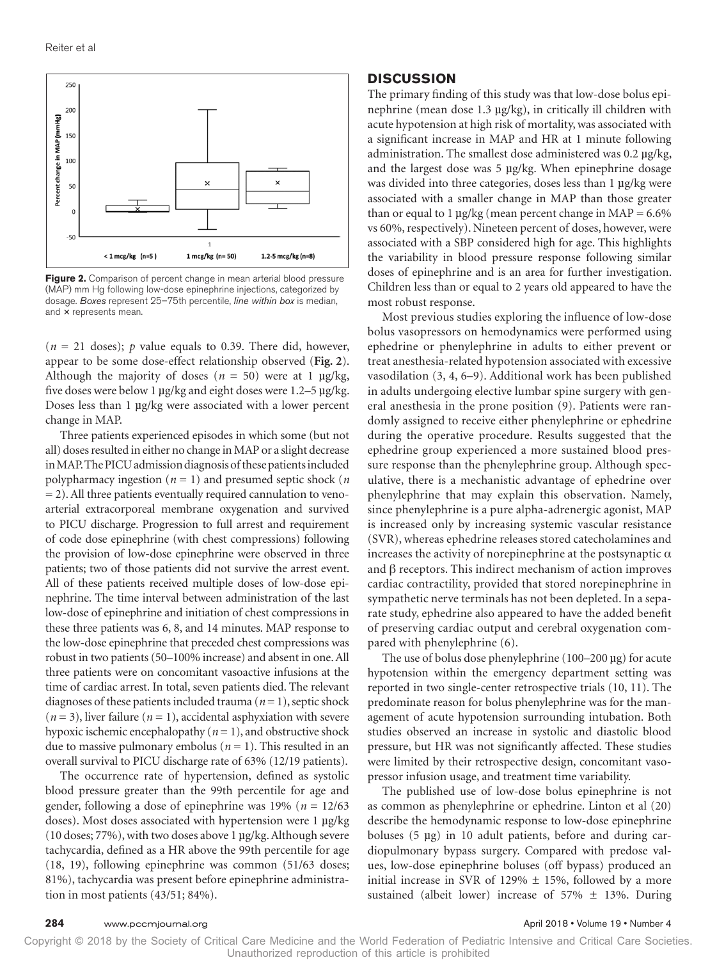

**Figure 2.** Comparison of percent change in mean arterial blood pressure (MAP) mm Hg following low-dose epinephrine injections, categorized by dosage. *Boxes* represent 25–75th percentile, *line within box* is median, and *×* represents mean.

 $(n = 21$  doses); *p* value equals to 0.39. There did, however, appear to be some dose-effect relationship observed (**Fig. 2**). Although the majority of doses  $(n = 50)$  were at 1 µg/kg, five doses were below 1 µg/kg and eight doses were 1.2–5 µg/kg. Doses less than 1 µg/kg were associated with a lower percent change in MAP.

Three patients experienced episodes in which some (but not all) doses resulted in either no change in MAP or a slight decrease in MAP. The PICU admission diagnosis of these patients included polypharmacy ingestion (*n* = 1) and presumed septic shock (*n* = 2). All three patients eventually required cannulation to venoarterial extracorporeal membrane oxygenation and survived to PICU discharge. Progression to full arrest and requirement of code dose epinephrine (with chest compressions) following the provision of low-dose epinephrine were observed in three patients; two of those patients did not survive the arrest event. All of these patients received multiple doses of low-dose epinephrine. The time interval between administration of the last low-dose of epinephrine and initiation of chest compressions in these three patients was 6, 8, and 14 minutes. MAP response to the low-dose epinephrine that preceded chest compressions was robust in two patients (50–100% increase) and absent in one. All three patients were on concomitant vasoactive infusions at the time of cardiac arrest. In total, seven patients died. The relevant diagnoses of these patients included trauma  $(n=1)$ , septic shock  $(n=3)$ , liver failure  $(n=1)$ , accidental asphyxiation with severe hypoxic ischemic encephalopathy (*n* = 1), and obstructive shock due to massive pulmonary embolus ( $n = 1$ ). This resulted in an overall survival to PICU discharge rate of 63% (12/19 patients).

The occurrence rate of hypertension, defined as systolic blood pressure greater than the 99th percentile for age and gender, following a dose of epinephrine was 19% (*n* = 12/63 doses). Most doses associated with hypertension were 1 µg/kg (10 doses; 77%), with two doses above 1 µg/kg. Although severe tachycardia, defined as a HR above the 99th percentile for age (18, 19), following epinephrine was common (51/63 doses; 81%), tachycardia was present before epinephrine administration in most patients (43/51; 84%).

## **DISCUSSION**

The primary finding of this study was that low-dose bolus epinephrine (mean dose 1.3 µg/kg), in critically ill children with acute hypotension at high risk of mortality, was associated with a significant increase in MAP and HR at 1 minute following administration. The smallest dose administered was 0.2 µg/kg, and the largest dose was 5 µg/kg. When epinephrine dosage was divided into three categories, doses less than 1 µg/kg were associated with a smaller change in MAP than those greater than or equal to 1  $\mu$ g/kg (mean percent change in MAP = 6.6% vs 60%, respectively). Nineteen percent of doses, however, were associated with a SBP considered high for age. This highlights the variability in blood pressure response following similar doses of epinephrine and is an area for further investigation. Children less than or equal to 2 years old appeared to have the most robust response.

Most previous studies exploring the influence of low-dose bolus vasopressors on hemodynamics were performed using ephedrine or phenylephrine in adults to either prevent or treat anesthesia-related hypotension associated with excessive vasodilation (3, 4, 6–9). Additional work has been published in adults undergoing elective lumbar spine surgery with general anesthesia in the prone position (9). Patients were randomly assigned to receive either phenylephrine or ephedrine during the operative procedure. Results suggested that the ephedrine group experienced a more sustained blood pressure response than the phenylephrine group. Although speculative, there is a mechanistic advantage of ephedrine over phenylephrine that may explain this observation. Namely, since phenylephrine is a pure alpha-adrenergic agonist, MAP is increased only by increasing systemic vascular resistance (SVR), whereas ephedrine releases stored catecholamines and increases the activity of norepinephrine at the postsynaptic  $\alpha$ and β receptors. This indirect mechanism of action improves cardiac contractility, provided that stored norepinephrine in sympathetic nerve terminals has not been depleted. In a separate study, ephedrine also appeared to have the added benefit of preserving cardiac output and cerebral oxygenation compared with phenylephrine (6).

The use of bolus dose phenylephrine (100–200 µg) for acute hypotension within the emergency department setting was reported in two single-center retrospective trials (10, 11). The predominate reason for bolus phenylephrine was for the management of acute hypotension surrounding intubation. Both studies observed an increase in systolic and diastolic blood pressure, but HR was not significantly affected. These studies were limited by their retrospective design, concomitant vasopressor infusion usage, and treatment time variability.

The published use of low-dose bolus epinephrine is not as common as phenylephrine or ephedrine. Linton et al (20) describe the hemodynamic response to low-dose epinephrine boluses (5 µg) in 10 adult patients, before and during cardiopulmonary bypass surgery. Compared with predose values, low-dose epinephrine boluses (off bypass) produced an initial increase in SVR of 129%  $\pm$  15%, followed by a more sustained (albeit lower) increase of  $57\% \pm 13\%$ . During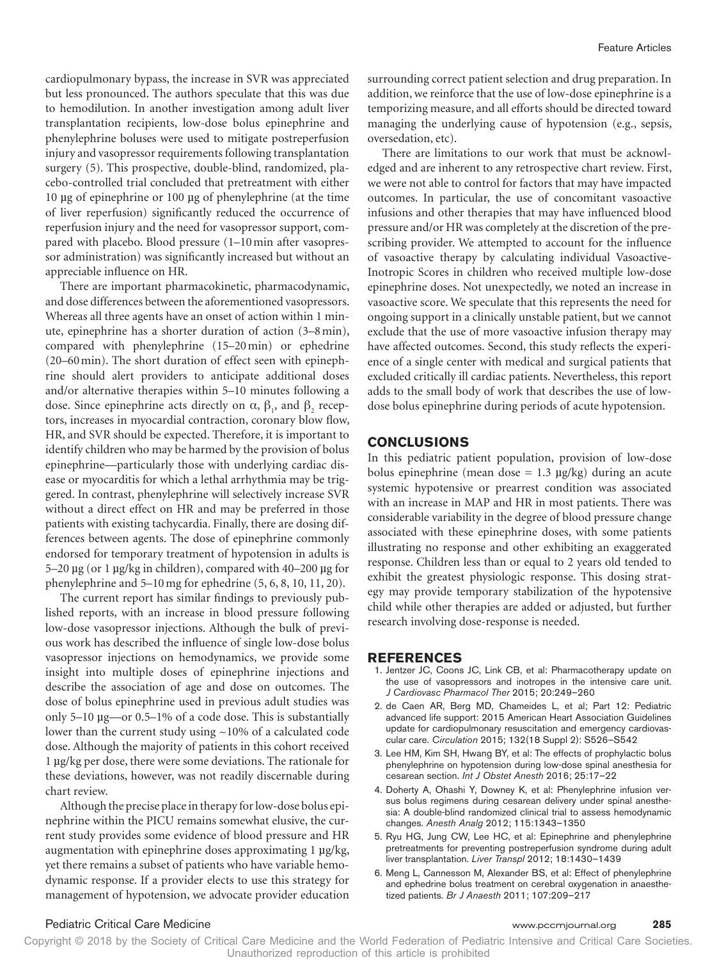cardiopulmonary bypass, the increase in SVR was appreciated but less pronounced. The authors speculate that this was due to hemodilution. In another investigation among adult liver transplantation recipients, low-dose bolus epinephrine and phenylephrine boluses were used to mitigate postreperfusion injury and vasopressor requirements following transplantation surgery (5). This prospective, double-blind, randomized, placebo-controlled trial concluded that pretreatment with either 10 µg of epinephrine or 100 µg of phenylephrine (at the time of liver reperfusion) significantly reduced the occurrence of reperfusion injury and the need for vasopressor support, compared with placebo. Blood pressure (1–10min after vasopressor administration) was significantly increased but without an appreciable influence on HR.

There are important pharmacokinetic, pharmacodynamic, and dose differences between the aforementioned vasopressors. Whereas all three agents have an onset of action within 1 minute, epinephrine has a shorter duration of action (3–8min), compared with phenylephrine (15–20min) or ephedrine (20–60min). The short duration of effect seen with epinephrine should alert providers to anticipate additional doses and/or alternative therapies within 5–10 minutes following a dose. Since epinephrine acts directly on  $\alpha$ ,  $\beta_1$ , and  $\beta_2$  receptors, increases in myocardial contraction, coronary blow flow, HR, and SVR should be expected. Therefore, it is important to identify children who may be harmed by the provision of bolus epinephrine—particularly those with underlying cardiac disease or myocarditis for which a lethal arrhythmia may be triggered. In contrast, phenylephrine will selectively increase SVR without a direct effect on HR and may be preferred in those patients with existing tachycardia. Finally, there are dosing differences between agents. The dose of epinephrine commonly endorsed for temporary treatment of hypotension in adults is 5–20 µg (or 1 µg/kg in children), compared with 40–200 µg for phenylephrine and 5–10mg for ephedrine (5, 6, 8, 10, 11, 20).

The current report has similar findings to previously published reports, with an increase in blood pressure following low-dose vasopressor injections. Although the bulk of previous work has described the influence of single low-dose bolus vasopressor injections on hemodynamics, we provide some insight into multiple doses of epinephrine injections and describe the association of age and dose on outcomes. The dose of bolus epinephrine used in previous adult studies was only 5–10 µg—or 0.5–1% of a code dose. This is substantially lower than the current study using ~10% of a calculated code dose. Although the majority of patients in this cohort received 1 µg/kg per dose, there were some deviations. The rationale for these deviations, however, was not readily discernable during chart review.

Although the precise place in therapy for low-dose bolus epinephrine within the PICU remains somewhat elusive, the current study provides some evidence of blood pressure and HR augmentation with epinephrine doses approximating 1 µg/kg, yet there remains a subset of patients who have variable hemodynamic response. If a provider elects to use this strategy for management of hypotension, we advocate provider education surrounding correct patient selection and drug preparation. In addition, we reinforce that the use of low-dose epinephrine is a temporizing measure, and all efforts should be directed toward managing the underlying cause of hypotension (e.g., sepsis, oversedation, etc).

There are limitations to our work that must be acknowledged and are inherent to any retrospective chart review. First, we were not able to control for factors that may have impacted outcomes. In particular, the use of concomitant vasoactive infusions and other therapies that may have influenced blood pressure and/or HR was completely at the discretion of the prescribing provider. We attempted to account for the influence of vasoactive therapy by calculating individual Vasoactive-Inotropic Scores in children who received multiple low-dose epinephrine doses. Not unexpectedly, we noted an increase in vasoactive score. We speculate that this represents the need for ongoing support in a clinically unstable patient, but we cannot exclude that the use of more vasoactive infusion therapy may have affected outcomes. Second, this study reflects the experience of a single center with medical and surgical patients that excluded critically ill cardiac patients. Nevertheless, this report adds to the small body of work that describes the use of lowdose bolus epinephrine during periods of acute hypotension.

## **CONCLUSIONS**

In this pediatric patient population, provision of low-dose bolus epinephrine (mean dose  $= 1.3$  µg/kg) during an acute systemic hypotensive or prearrest condition was associated with an increase in MAP and HR in most patients. There was considerable variability in the degree of blood pressure change associated with these epinephrine doses, with some patients illustrating no response and other exhibiting an exaggerated response. Children less than or equal to 2 years old tended to exhibit the greatest physiologic response. This dosing strategy may provide temporary stabilization of the hypotensive child while other therapies are added or adjusted, but further research involving dose-response is needed.

## **REFERENCES**

- 1. Jentzer JC, Coons JC, Link CB, et al: Pharmacotherapy update on the use of vasopressors and inotropes in the intensive care unit. *J Cardiovasc Pharmacol Ther* 2015; 20:249–260
- 2. de Caen AR, Berg MD, Chameides L, et al; Part 12: Pediatric advanced life support: 2015 American Heart Association Guidelines update for cardiopulmonary resuscitation and emergency cardiovascular care. *Circulation* 2015; 132(18 Suppl 2): S526–S542
- 3. Lee HM, Kim SH, Hwang BY, et al: The effects of prophylactic bolus phenylephrine on hypotension during low-dose spinal anesthesia for cesarean section. *Int J Obstet Anesth* 2016; 25:17–22
- 4. Doherty A, Ohashi Y, Downey K, et al: Phenylephrine infusion versus bolus regimens during cesarean delivery under spinal anesthesia: A double-blind randomized clinical trial to assess hemodynamic changes. *Anesth Analg* 2012; 115:1343–1350
- 5. Ryu HG, Jung CW, Lee HC, et al: Epinephrine and phenylephrine pretreatments for preventing postreperfusion syndrome during adult liver transplantation. *Liver Transpl* 2012; 18:1430–1439
- 6. Meng L, Cannesson M, Alexander BS, et al: Effect of phenylephrine and ephedrine bolus treatment on cerebral oxygenation in anaesthetized patients. *Br J Anaesth* 2011; 107:209–217

## Pediatric Critical Care Medicine www.pccmjournal.org **285**